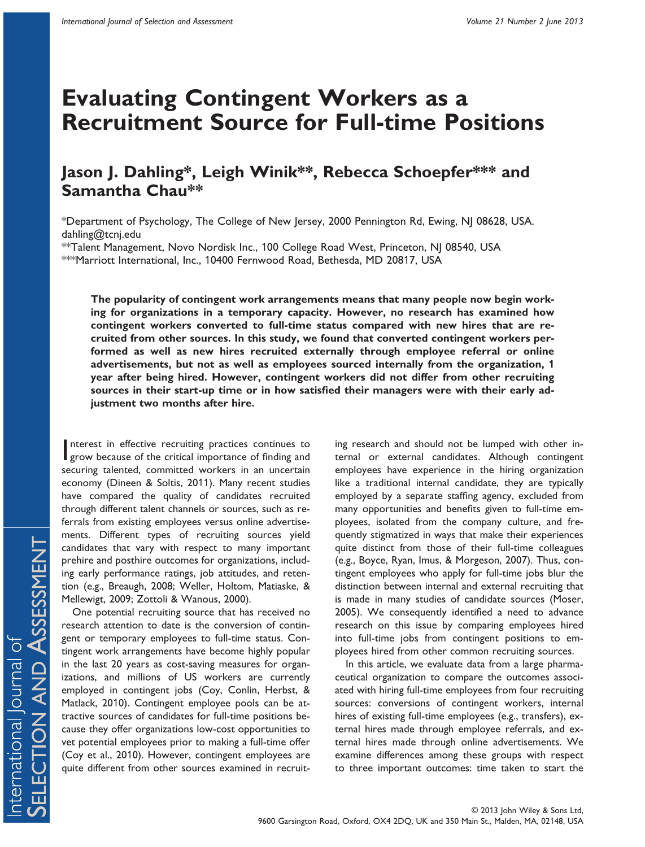# **Evaluating Contingent Workers as a Recruitment Source for Full-time Positions**

# **Jason J. Dahling\*, Leigh Winik\*\*, Rebecca Schoepfer\*\*\* and Samantha Chau\*\***

\*Department of Psychology, The College of New Jersey, 2000 Pennington Rd, Ewing, NJ 08628, USA. [dahling@tcnj.edu](mailto:dahling@tcnj.edu)

\*\*Talent Management, Novo Nordisk Inc., 100 College Road West, Princeton, NJ 08540, USA \*\*\*Marriott International, Inc., 10400 Fernwood Road, Bethesda, MD 20817, USA

**The popularity of contingent work arrangements means that many people now begin working for organizations in a temporary capacity. However, no research has examined how contingent workers converted to full-time status compared with new hires that are recruited from other sources. In this study, we found that converted contingent workers performed as well as new hires recruited externally through employee referral or online advertisements, but not as well as employees sourced internally from the organization, 1 year after being hired. However, contingent workers did not differ from other recruiting sources in their start-up time or in how satisfied their managers were with their early adjustment two months after hire.**

Interest in effective recruiting practices continues to grow because of the critical importance of finding and nterest in effective recruiting practices continues to securing talented, committed workers in an uncertain economy (Dineen & Soltis, 2011). Many recent studies have compared the quality of candidates recruited through different talent channels or sources, such as referrals from existing employees versus online advertisements. Different types of recruiting sources yield candidates that vary with respect to many important prehire and posthire outcomes for organizations, including early performance ratings, job attitudes, and retention (e.g., Breaugh, 2008; Weller, Holtom, Matiaske, & Mellewigt, 2009; Zottoli & Wanous, 2000).

One potential recruiting source that has received no research attention to date is the conversion of contingent or temporary employees to full-time status. Contingent work arrangements have become highly popular in the last 20 years as cost-saving measures for organizations, and millions of US workers are currently employed in contingent jobs (Coy, Conlin, Herbst, & Matlack, 2010). Contingent employee pools can be attractive sources of candidates for full-time positions because they offer organizations low-cost opportunities to vet potential employees prior to making a full-time offer (Coy et al., 2010). However, contingent employees are quite different from other sources examined in recruit-

ing research and should not be lumped with other internal or external candidates. Although contingent employees have experience in the hiring organization like a traditional internal candidate, they are typically employed by a separate staffing agency, excluded from many opportunities and benefits given to full-time employees, isolated from the company culture, and frequently stigmatized in ways that make their experiences quite distinct from those of their full-time colleagues (e.g., Boyce, Ryan, Imus, & Morgeson, 2007). Thus, contingent employees who apply for full-time jobs blur the distinction between internal and external recruiting that is made in many studies of candidate sources (Moser, 2005). We consequently identified a need to advance research on this issue by comparing employees hired into full-time jobs from contingent positions to employees hired from other common recruiting sources.

In this article, we evaluate data from a large pharmaceutical organization to compare the outcomes associated with hiring full-time employees from four recruiting sources: conversions of contingent workers, internal hires of existing full-time employees (e.g., transfers), external hires made through employee referrals, and external hires made through online advertisements. We examine differences among these groups with respect to three important outcomes: time taken to start the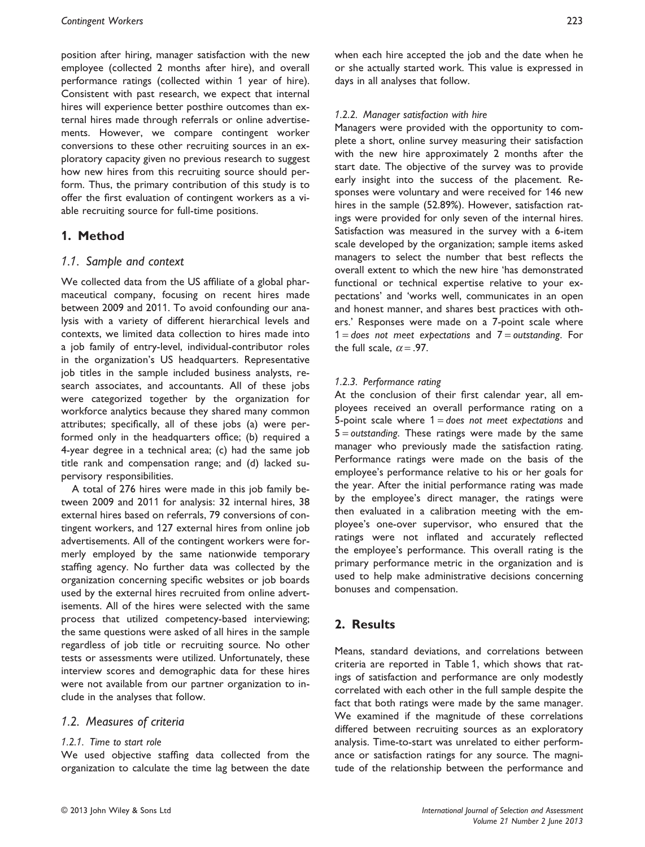position after hiring, manager satisfaction with the new employee (collected 2 months after hire), and overall performance ratings (collected within 1 year of hire). Consistent with past research, we expect that internal hires will experience better posthire outcomes than external hires made through referrals or online advertisements. However, we compare contingent worker conversions to these other recruiting sources in an exploratory capacity given no previous research to suggest how new hires from this recruiting source should perform. Thus, the primary contribution of this study is to offer the first evaluation of contingent workers as a viable recruiting source for full-time positions.

## **1. Method**

#### *1.1. Sample and context*

We collected data from the US affiliate of a global pharmaceutical company, focusing on recent hires made between 2009 and 2011. To avoid confounding our analysis with a variety of different hierarchical levels and contexts, we limited data collection to hires made into a job family of entry-level, individual-contributor roles in the organization's US headquarters. Representative job titles in the sample included business analysts, research associates, and accountants. All of these jobs were categorized together by the organization for workforce analytics because they shared many common attributes; specifically, all of these jobs (a) were performed only in the headquarters office; (b) required a 4-year degree in a technical area; (c) had the same job title rank and compensation range; and (d) lacked supervisory responsibilities.

A total of 276 hires were made in this job family between 2009 and 2011 for analysis: 32 internal hires, 38 external hires based on referrals, 79 conversions of contingent workers, and 127 external hires from online job advertisements. All of the contingent workers were formerly employed by the same nationwide temporary staffing agency. No further data was collected by the organization concerning specific websites or job boards used by the external hires recruited from online advertisements. All of the hires were selected with the same process that utilized competency-based interviewing; the same questions were asked of all hires in the sample regardless of job title or recruiting source. No other tests or assessments were utilized. Unfortunately, these interview scores and demographic data for these hires were not available from our partner organization to include in the analyses that follow.

#### *1.2. Measures of criteria*

#### *1.2.1. Time to start role*

We used objective staffing data collected from the organization to calculate the time lag between the date when each hire accepted the job and the date when he or she actually started work. This value is expressed in days in all analyses that follow.

#### *1.2.2. Manager satisfaction with hire*

Managers were provided with the opportunity to complete a short, online survey measuring their satisfaction with the new hire approximately 2 months after the start date. The objective of the survey was to provide early insight into the success of the placement. Responses were voluntary and were received for 146 new hires in the sample (52.89%). However, satisfaction ratings were provided for only seven of the internal hires. Satisfaction was measured in the survey with a 6-item scale developed by the organization; sample items asked managers to select the number that best reflects the overall extent to which the new hire 'has demonstrated functional or technical expertise relative to your expectations' and 'works well, communicates in an open and honest manner, and shares best practices with others.' Responses were made on a 7-point scale where 1 = *does not meet expectations* and 7 = *outstanding*. For the full scale,  $\alpha = .97$ .

#### *1.2.3. Performance rating*

At the conclusion of their first calendar year, all employees received an overall performance rating on a 5-point scale where 1 = *does not meet expectations* and 5 = *outstanding*. These ratings were made by the same manager who previously made the satisfaction rating. Performance ratings were made on the basis of the employee's performance relative to his or her goals for the year. After the initial performance rating was made by the employee's direct manager, the ratings were then evaluated in a calibration meeting with the employee's one-over supervisor, who ensured that the ratings were not inflated and accurately reflected the employee's performance. This overall rating is the primary performance metric in the organization and is used to help make administrative decisions concerning bonuses and compensation.

# **2. Results**

Means, standard deviations, and correlations between criteria are reported in Table 1, which shows that ratings of satisfaction and performance are only modestly correlated with each other in the full sample despite the fact that both ratings were made by the same manager. We examined if the magnitude of these correlations differed between recruiting sources as an exploratory analysis. Time-to-start was unrelated to either performance or satisfaction ratings for any source. The magnitude of the relationship between the performance and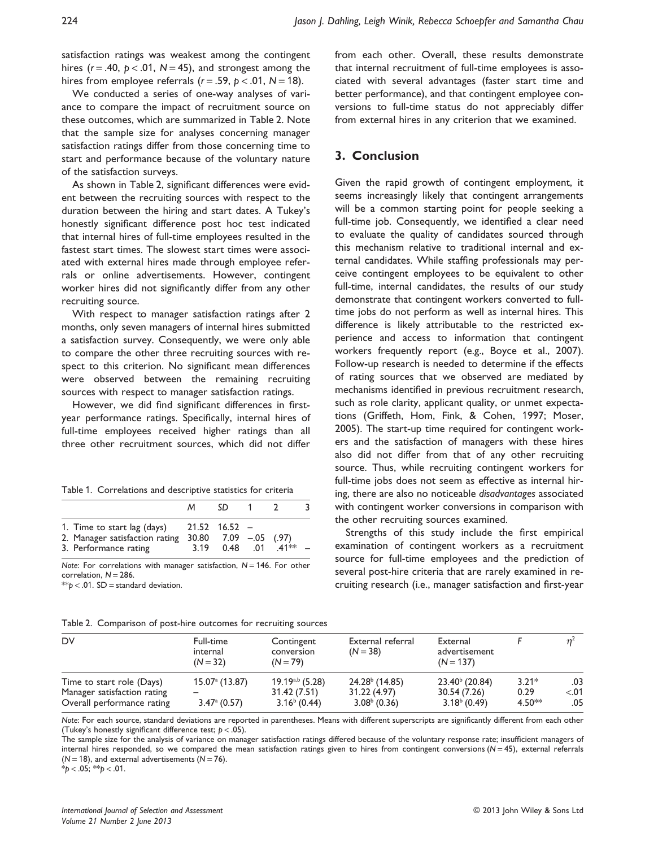satisfaction ratings was weakest among the contingent hires  $(r = .40, p < .01, N = 45)$ , and strongest among the hires from employee referrals  $(r = .59, p < .01, N = 18)$ .

We conducted a series of one-way analyses of variance to compare the impact of recruitment source on these outcomes, which are summarized in Table 2. Note that the sample size for analyses concerning manager satisfaction ratings differ from those concerning time to start and performance because of the voluntary nature of the satisfaction surveys.

As shown in Table 2, significant differences were evident between the recruiting sources with respect to the duration between the hiring and start dates. A Tukey's honestly significant difference post hoc test indicated that internal hires of full-time employees resulted in the fastest start times. The slowest start times were associated with external hires made through employee referrals or online advertisements. However, contingent worker hires did not significantly differ from any other recruiting source.

With respect to manager satisfaction ratings after 2 months, only seven managers of internal hires submitted a satisfaction survey. Consequently, we were only able to compare the other three recruiting sources with respect to this criterion. No significant mean differences were observed between the remaining recruiting sources with respect to manager satisfaction ratings.

However, we did find significant differences in firstyear performance ratings. Specifically, internal hires of full-time employees received higher ratings than all three other recruitment sources, which did not differ

|                                                                                        | M.   | SD.                                            |          |      |  |
|----------------------------------------------------------------------------------------|------|------------------------------------------------|----------|------|--|
| 1. Time to start lag (days)<br>2. Manager satisfaction rating<br>3. Performance rating | 3.19 | 21.52 16.52<br>$30.80$ $7.09$ $-0.05$ $(0.97)$ | 0.48 .01 | 41** |  |

*Note*: For correlations with manager satisfaction, *N* = 146. For other correlation,  $N = 286$ .

\*\**p* < .01. SD = standard deviation.

from each other. Overall, these results demonstrate that internal recruitment of full-time employees is associated with several advantages (faster start time and better performance), and that contingent employee conversions to full-time status do not appreciably differ from external hires in any criterion that we examined.

#### **3. Conclusion**

Given the rapid growth of contingent employment, it seems increasingly likely that contingent arrangements will be a common starting point for people seeking a full-time job. Consequently, we identified a clear need to evaluate the quality of candidates sourced through this mechanism relative to traditional internal and external candidates. While staffing professionals may perceive contingent employees to be equivalent to other full-time, internal candidates, the results of our study demonstrate that contingent workers converted to fulltime jobs do not perform as well as internal hires. This difference is likely attributable to the restricted experience and access to information that contingent workers frequently report (e.g., Boyce et al., 2007). Follow-up research is needed to determine if the effects of rating sources that we observed are mediated by mechanisms identified in previous recruitment research, such as role clarity, applicant quality, or unmet expectations (Griffeth, Hom, Fink, & Cohen, 1997; Moser, 2005). The start-up time required for contingent workers and the satisfaction of managers with these hires also did not differ from that of any other recruiting source. Thus, while recruiting contingent workers for full-time jobs does not seem as effective as internal hiring, there are also no noticeable *disadvantages* associated with contingent worker conversions in comparison with the other recruiting sources examined.

Strengths of this study include the first empirical examination of contingent workers as a recruitment source for full-time employees and the prediction of several post-hire criteria that are rarely examined in recruiting research (i.e., manager satisfaction and first-year

| DV                                                                                     | Full-time<br>internal<br>$(N = 32)$              | Contingent<br>conversion<br>$(N = 79)$                 | External referral<br>$(N = 38)$                    | External<br>advertisement<br>$(N = 137)$              |                             |                      |
|----------------------------------------------------------------------------------------|--------------------------------------------------|--------------------------------------------------------|----------------------------------------------------|-------------------------------------------------------|-----------------------------|----------------------|
| Time to start role (Days)<br>Manager satisfaction rating<br>Overall performance rating | $15.07^{\circ}$ (13.87)<br>$3.47^{\circ}$ (0.57) | $19.19^{a,b}$ (5.28)<br>31.42 (7.51)<br>$3.16b$ (0.44) | $24.28b$ (14.85)<br>31.22 (4.97)<br>$3.08b$ (0.36) | $23.40^{b}$ (20.84)<br>30.54 (7.26)<br>$3.18b$ (0.49) | $3.21*$<br>0.29<br>$4.50**$ | .03<br>< 0.01<br>.05 |

Table 2. Comparison of post-hire outcomes for recruiting sources

*Note*: For each source, standard deviations are reported in parentheses. Means with different superscripts are significantly different from each other (Tukey's honestly significant difference test; *p* < .05).

The sample size for the analysis of variance on manager satisfaction ratings differed because of the voluntary response rate; insufficient managers of internal hires responded, so we compared the mean satisfaction ratings given to hires from contingent conversions (*N* = 45), external referrals  $(N = 18)$ , and external advertisements  $(N = 76)$ .

\**p* < .05; \*\**p* < .01.